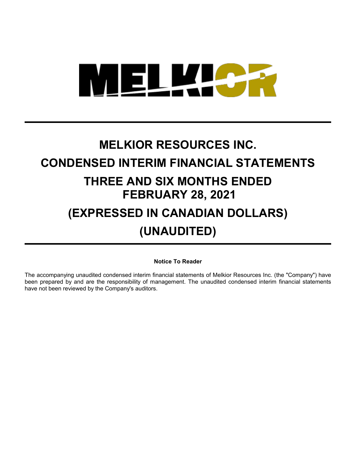

# **MELKIOR RESOURCES INC. CONDENSED INTERIM FINANCIAL STATEMENTS THREE AND SIX MONTHS ENDED FEBRUARY 28, 2021 (EXPRESSED IN CANADIAN DOLLARS)**

## **(UNAUDITED)**

**Notice To Reader**

The accompanying unaudited condensed interim financial statements of Melkior Resources Inc. (the "Company") have been prepared by and are the responsibility of management. The unaudited condensed interim financial statements have not been reviewed by the Company's auditors.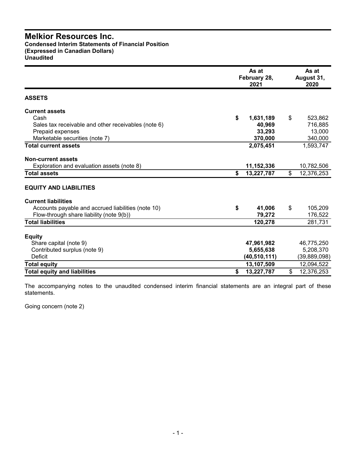**Condensed Interim Statements of Financial Position (Expressed in Canadian Dollars) Unaudited**

|                                                     | As at<br>February 28,<br>2021 |                | As at<br>August 31,<br>2020 |
|-----------------------------------------------------|-------------------------------|----------------|-----------------------------|
| <b>ASSETS</b>                                       |                               |                |                             |
| <b>Current assets</b>                               |                               |                |                             |
| Cash                                                | \$<br>1,631,189               | \$             | 523,862                     |
| Sales tax receivable and other receivables (note 6) | 40,969                        |                | 716,885                     |
| Prepaid expenses                                    | 33,293                        |                | 13,000                      |
| Marketable securities (note 7)                      | 370,000                       |                | 340,000                     |
| <b>Total current assets</b>                         | 2,075,451                     |                | 1,593,747                   |
| <b>Non-current assets</b>                           |                               |                |                             |
| Exploration and evaluation assets (note 8)          | 11,152,336                    |                | 10,782,506                  |
| <b>Total assets</b>                                 | \$<br>13,227,787              | $\mathfrak{S}$ | 12,376,253                  |
| <b>EQUITY AND LIABILITIES</b>                       |                               |                |                             |
| <b>Current liabilities</b>                          |                               |                |                             |
| Accounts payable and accrued liabilities (note 10)  | \$<br>41,006                  | \$             | 105,209                     |
| Flow-through share liability (note 9(b))            | 79,272                        |                | 176,522                     |
| <b>Total liabilities</b>                            | 120,278                       |                | 281,731                     |
| <b>Equity</b>                                       |                               |                |                             |
| Share capital (note 9)                              | 47,961,982                    |                | 46,775,250                  |
| Contributed surplus (note 9)                        | 5,655,638                     |                | 5,208,370                   |
| <b>Deficit</b>                                      | (40, 510, 111)                |                | (39, 889, 098)              |
| <b>Total equity</b>                                 | 13,107,509                    |                | 12,094,522                  |
| <b>Total equity and liabilities</b>                 | \$<br>13,227,787              | \$             | 12,376,253                  |

The accompanying notes to the unaudited condensed interim financial statements are an integral part of these statements.

Going concern (note 2)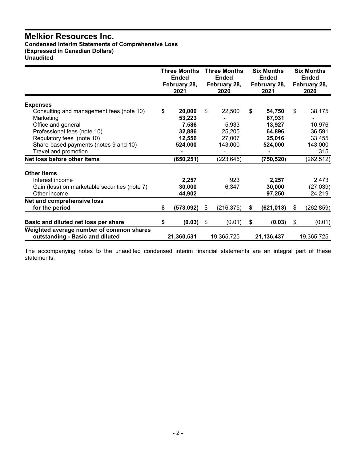**Condensed Interim Statements of Comprehensive Loss (Expressed in Canadian Dollars) Unaudited**

|                                                                             | <b>Three Months</b><br><b>Ended</b><br>February 28,<br>2021 | <b>Three Months</b><br><b>Ended</b><br>February 28,<br>2020 | <b>Six Months</b><br><b>Ended</b><br>February 28,<br>2021 | <b>Six Months</b><br><b>Ended</b><br>February 28,<br>2020 |
|-----------------------------------------------------------------------------|-------------------------------------------------------------|-------------------------------------------------------------|-----------------------------------------------------------|-----------------------------------------------------------|
|                                                                             |                                                             |                                                             |                                                           |                                                           |
| <b>Expenses</b><br>Consulting and management fees (note 10)                 | \$<br>20,000                                                | \$<br>22,500                                                | \$<br>54,750                                              | \$<br>38,175                                              |
| Marketing                                                                   | 53,223                                                      |                                                             | 67,931                                                    |                                                           |
| Office and general                                                          | 7,586                                                       | 5,933                                                       | 13,927                                                    | 10,976                                                    |
| Professional fees (note 10)                                                 | 32,886                                                      | 25,205                                                      | 64,896                                                    | 36,591                                                    |
| Regulatory fees (note 10)                                                   | 12,556                                                      | 27,007                                                      | 25,016                                                    | 33,455                                                    |
| Share-based payments (notes 9 and 10)                                       | 524,000                                                     | 143,000                                                     | 524,000                                                   | 143,000                                                   |
| Travel and promotion                                                        |                                                             |                                                             |                                                           | 315                                                       |
| Net loss before other items                                                 | (650, 251)                                                  | (223, 645)                                                  | (750, 520)                                                | (262, 512)                                                |
|                                                                             |                                                             |                                                             |                                                           |                                                           |
| Other items                                                                 |                                                             |                                                             |                                                           |                                                           |
| Interest income                                                             | 2,257                                                       | 923                                                         | 2,257                                                     | 2,473                                                     |
| Gain (loss) on marketable securities (note 7)                               | 30,000                                                      | 6,347                                                       | 30,000                                                    | (27, 039)                                                 |
| Other income                                                                | 44,902                                                      |                                                             | 97,250                                                    | 24,219                                                    |
| Net and comprehensive loss                                                  |                                                             |                                                             |                                                           |                                                           |
| for the period                                                              | \$<br>(573, 092)                                            | \$<br>(216, 375)                                            | \$<br>(621, 013)                                          | \$<br>(262, 859)                                          |
| Basic and diluted net loss per share                                        | \$<br>(0.03)                                                | \$<br>(0.01)                                                | \$<br>(0.03)                                              | \$<br>(0.01)                                              |
|                                                                             |                                                             |                                                             |                                                           |                                                           |
| Weighted average number of common shares<br>outstanding - Basic and diluted | 21,360,531                                                  | 19,365,725                                                  | 21,136,437                                                | 19,365,725                                                |

The accompanying notes to the unaudited condensed interim financial statements are an integral part of these statements.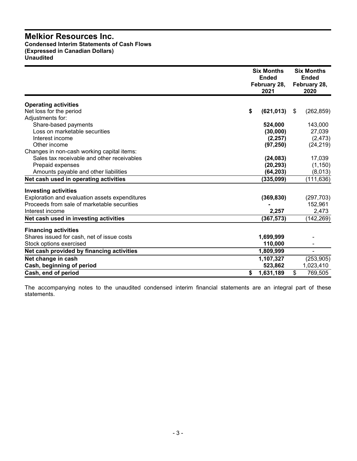### **Melkior Resources Inc. Condensed Interim Statements of Cash Flows (Expressed in Canadian Dollars) Unaudited**

|                                                | <b>Six Months</b><br><b>Ended</b><br>February 28,<br>2021 | <b>Six Months</b><br><b>Ended</b><br>February 28,<br>2020 |
|------------------------------------------------|-----------------------------------------------------------|-----------------------------------------------------------|
| <b>Operating activities</b>                    |                                                           |                                                           |
| Net loss for the period                        | \$<br>(621, 013)                                          | (262, 859)<br>\$                                          |
| Adjustments for:                               |                                                           |                                                           |
| Share-based payments                           | 524,000                                                   | 143,000                                                   |
| Loss on marketable securities                  | (30,000)                                                  | 27,039                                                    |
| Interest income                                | (2, 257)                                                  | (2, 473)                                                  |
| Other income                                   | (97, 250)                                                 | (24, 219)                                                 |
| Changes in non-cash working capital items:     |                                                           |                                                           |
| Sales tax receivable and other receivables     | (24, 083)                                                 | 17,039                                                    |
| Prepaid expenses                               | (20, 293)                                                 | (1, 150)                                                  |
| Amounts payable and other liabilities          | (64, 203)                                                 | (8,013)                                                   |
| Net cash used in operating activities          | (335,099)                                                 | (111, 636)                                                |
| <b>Investing activities</b>                    |                                                           |                                                           |
| Exploration and evaluation assets expenditures | (369, 830)                                                | (297, 703)                                                |
| Proceeds from sale of marketable securities    |                                                           | 152,961                                                   |
| Interest income                                | 2,257                                                     | 2,473                                                     |
| Net cash used in investing activities          | (367, 573)                                                | (142, 269)                                                |
| <b>Financing activities</b>                    |                                                           |                                                           |
| Shares issued for cash, net of issue costs     | 1,699,999                                                 |                                                           |
| Stock options exercised                        | 110,000                                                   |                                                           |
| Net cash provided by financing activities      | 1,809,999                                                 |                                                           |
| Net change in cash                             | 1,107,327                                                 | (253, 905)                                                |
| Cash, beginning of period                      | 523,862                                                   | 1,023,410                                                 |
| Cash, end of period                            | 1,631,189<br>\$                                           | \$<br>769,505                                             |

The accompanying notes to the unaudited condensed interim financial statements are an integral part of these statements.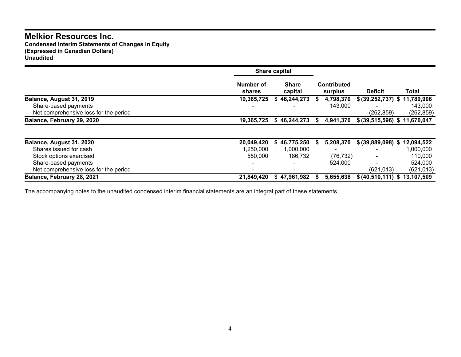**Condensed Interim Statements of Changes in Equity (Expressed in Canadian Dollars) Unaudited**

|                                       |                     | Share capital           |                               |                               |            |
|---------------------------------------|---------------------|-------------------------|-------------------------------|-------------------------------|------------|
|                                       | Number of<br>shares | <b>Share</b><br>capital | <b>Contributed</b><br>surplus | <b>Deficit</b>                | Total      |
| Balance, August 31, 2019              | 19,365,725          | 46,244,273              | 4,798,370                     | \$ (39,252,737) \$ 11,789,906 |            |
| Share-based payments                  |                     |                         | 143,000                       |                               | 143,000    |
| Net comprehensive loss for the period |                     |                         |                               | (262, 859)                    | (262, 859) |
| Balance, February 29, 2020            | 19,365,725          | \$46,244,273            | 4,941,370                     | \$ (39,515,596) \$ 11,670,047 |            |
|                                       |                     |                         |                               |                               |            |
| Balance, August 31, 2020              | 20,049,420          | \$46,775,250            | 5,208,370                     | \$ (39,889,098) \$            | 12,094,522 |
| Shares issued for cash                | 1,250,000           | 1,000,000               |                               |                               | 1,000,000  |
| Stock options exercised               | 550,000             | 186.732                 | (76, 732)                     |                               | 110,000    |
| Share-based payments                  |                     |                         | 524,000                       |                               | 524,000    |
| Net comprehensive loss for the period |                     |                         |                               | (621, 013)                    | (621, 013) |
| Balance, February 28, 2021            | 21,849,420          | \$47,961,982            | 5,655,638                     | \$ (40,510,111) \$ 13,107,509 |            |

The accompanying notes to the unaudited condensed interim financial statements are an integral part of these statements.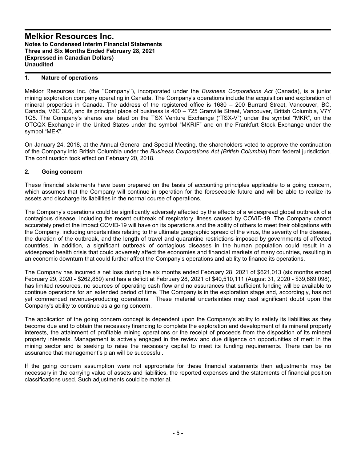### **1. Nature of operations**

Melkior Resources Inc. (the ''Company''), incorporated under the *Business Corporations Act* (Canada), is a junior mining exploration company operating in Canada. The Company's operations include the acquisition and exploration of mineral properties in Canada. The address of the registered office is 1680 – 200 Burrard Street, Vancouver, BC, Canada, V6C 3L6, and its principal place of business is 400 – 725 Granville Street, Vancouver, British Columbia, V7Y 1G5. The Company's shares are listed on the TSX Venture Exchange ("TSX-V") under the symbol "MKR", on the OTCQX Exchange in the United States under the symbol "MKRIF" and on the Frankfurt Stock Exchange under the symbol "MEK".

On January 24, 2018, at the Annual General and Special Meeting, the shareholders voted to approve the continuation of the Company into British Columbia under the *Business Corporations Act (British Columbia*) from federal jurisdiction. The continuation took effect on February 20, 2018.

### **2. Going concern**

These financial statements have been prepared on the basis of accounting principles applicable to a going concern, which assumes that the Company will continue in operation for the foreseeable future and will be able to realize its assets and discharge its liabilities in the normal course of operations.

The Company's operations could be significantly adversely affected by the effects of a widespread global outbreak of a contagious disease, including the recent outbreak of respiratory illness caused by COVID-19. The Company cannot accurately predict the impact COVID-19 will have on its operations and the ability of others to meet their obligations with the Company, including uncertainties relating to the ultimate geographic spread of the virus, the severity of the disease, the duration of the outbreak, and the length of travel and quarantine restrictions imposed by governments of affected countries. In addition, a significant outbreak of contagious diseases in the human population could result in a widespread health crisis that could adversely affect the economies and financial markets of many countries, resulting in an economic downturn that could further affect the Company's operations and ability to finance its operations.

The Company has incurred a net loss during the six months ended February 28, 2021 of \$621,013 (six months ended February 29, 2020 - \$262,859) and has a deficit at February 28, 2021 of \$40,510,111 (August 31, 2020 - \$39,889,098), has limited resources, no sources of operating cash flow and no assurances that sufficient funding will be available to continue operations for an extended period of time. The Company is in the exploration stage and, accordingly, has not yet commenced revenue-producing operations. These material uncertainties may cast significant doubt upon the Company's ability to continue as a going concern.

The application of the going concern concept is dependent upon the Company's ability to satisfy its liabilities as they become due and to obtain the necessary financing to complete the exploration and development of its mineral property interests, the attainment of profitable mining operations or the receipt of proceeds from the disposition of its mineral property interests. Management is actively engaged in the review and due diligence on opportunities of merit in the mining sector and is seeking to raise the necessary capital to meet its funding requirements. There can be no assurance that management's plan will be successful.

If the going concern assumption were not appropriate for these financial statements then adjustments may be necessary in the carrying value of assets and liabilities, the reported expenses and the statements of financial position classifications used. Such adjustments could be material.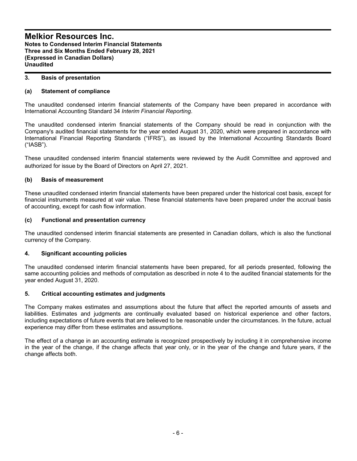### **3. Basis of presentation**

### **(a) Statement of compliance**

The unaudited condensed interim financial statements of the Company have been prepared in accordance with International Accounting Standard 34 *Interim Financial Reporting*.

The unaudited condensed interim financial statements of the Company should be read in conjunction with the Company's audited financial statements for the year ended August 31, 2020, which were prepared in accordance with International Financial Reporting Standards ("IFRS"), as issued by the International Accounting Standards Board ("IASB").

These unaudited condensed interim financial statements were reviewed by the Audit Committee and approved and authorized for issue by the Board of Directors on April 27, 2021.

### **(b) Basis of measurement**

These unaudited condensed interim financial statements have been prepared under the historical cost basis, except for financial instruments measured at vair value. These financial statements have been prepared under the accrual basis of accounting, except for cash flow information.

### **(c) Functional and presentation currency**

The unaudited condensed interim financial statements are presented in Canadian dollars, which is also the functional currency of the Company.

### **4. Significant accounting policies**

The unaudited condensed interim financial statements have been prepared, for all periods presented, following the same accounting policies and methods of computation as described in note 4 to the audited financial statements for the year ended August 31, 2020.

### **5. Critical accounting estimates and judgments**

The Company makes estimates and assumptions about the future that affect the reported amounts of assets and liabilities. Estimates and judgments are continually evaluated based on historical experience and other factors, including expectations of future events that are believed to be reasonable under the circumstances. In the future, actual experience may differ from these estimates and assumptions.

The effect of a change in an accounting estimate is recognized prospectively by including it in comprehensive income in the year of the change, if the change affects that year only, or in the year of the change and future years, if the change affects both.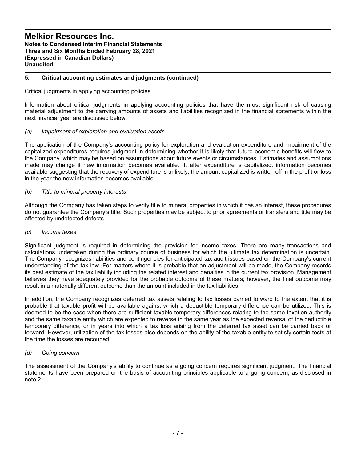### **5. Critical accounting estimates and judgments (continued)**

### Critical judgments in applying accounting policies

Information about critical judgments in applying accounting policies that have the most significant risk of causing material adjustment to the carrying amounts of assets and liabilities recognized in the financial statements within the next financial year are discussed below:

### *(a) Impairment of exploration and evaluation assets*

The application of the Company's accounting policy for exploration and evaluation expenditure and impairment of the capitalized expenditures requires judgment in determining whether it is likely that future economic benefits will flow to the Company, which may be based on assumptions about future events or circumstances. Estimates and assumptions made may change if new information becomes available. If, after expenditure is capitalized, information becomes available suggesting that the recovery of expenditure is unlikely, the amount capitalized is written off in the profit or loss in the year the new information becomes available.

### *(b) Title to mineral property interests*

Although the Company has taken steps to verify title to mineral properties in which it has an interest, these procedures do not guarantee the Company's title. Such properties may be subject to prior agreements or transfers and title may be affected by undetected defects.

#### *(c) Income taxes*

Significant judgment is required in determining the provision for income taxes. There are many transactions and calculations undertaken during the ordinary course of business for which the ultimate tax determination is uncertain. The Company recognizes liabilities and contingencies for anticipated tax audit issues based on the Company's current understanding of the tax law. For matters where it is probable that an adjustment will be made, the Company records its best estimate of the tax liability including the related interest and penalties in the current tax provision. Management believes they have adequately provided for the probable outcome of these matters; however, the final outcome may result in a materially different outcome than the amount included in the tax liabilities.

In addition, the Company recognizes deferred tax assets relating to tax losses carried forward to the extent that it is probable that taxable profit will be available against which a deductible temporary difference can be utilized. This is deemed to be the case when there are sufficient taxable temporary differences relating to the same taxation authority and the same taxable entity which are expected to reverse in the same year as the expected reversal of the deductible temporary difference, or in years into which a tax loss arising from the deferred tax asset can be carried back or forward. However, utilization of the tax losses also depends on the ability of the taxable entity to satisfy certain tests at the time the losses are recouped.

#### *(d) Going concern*

The assessment of the Company's ability to continue as a going concern requires significant judgment. The financial statements have been prepared on the basis of accounting principles applicable to a going concern, as disclosed in note 2.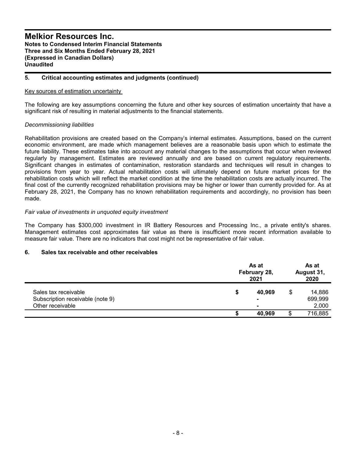### **5. Critical accounting estimates and judgments (continued)**

### Key sources of estimation uncertainty

The following are key assumptions concerning the future and other key sources of estimation uncertainty that have a significant risk of resulting in material adjustments to the financial statements.

### *Decommissioning liabilities*

Rehabilitation provisions are created based on the Company's internal estimates. Assumptions, based on the current economic environment, are made which management believes are a reasonable basis upon which to estimate the future liability. These estimates take into account any material changes to the assumptions that occur when reviewed regularly by management. Estimates are reviewed annually and are based on current regulatory requirements. Significant changes in estimates of contamination, restoration standards and techniques will result in changes to provisions from year to year. Actual rehabilitation costs will ultimately depend on future market prices for the rehabilitation costs which will reflect the market condition at the time the rehabilitation costs are actually incurred. The final cost of the currently recognized rehabilitation provisions may be higher or lower than currently provided for. As at February 28, 2021, the Company has no known rehabilitation requirements and accordingly, no provision has been made.

### *Fair value of investments in unquoted equity investment*

The Company has \$300,000 investment in IR Battery Resources and Processing Inc., a private entity's shares. Management estimates cost approximates fair value as there is insufficient more recent information available to measure fair value. There are no indicators that cost might not be representative of fair value.

### **6. Sales tax receivable and other receivables**

|                                  |   | As at<br>February 28,<br>2021 | As at<br>August 31,<br>2020 |  |
|----------------------------------|---|-------------------------------|-----------------------------|--|
| Sales tax receivable             | S | 40,969                        | \$<br>14,886                |  |
| Subscription receivable (note 9) |   | $\blacksquare$                | 699,999                     |  |
| Other receivable                 |   | $\blacksquare$                | 2,000                       |  |
|                                  |   | 40,969                        | 716,885                     |  |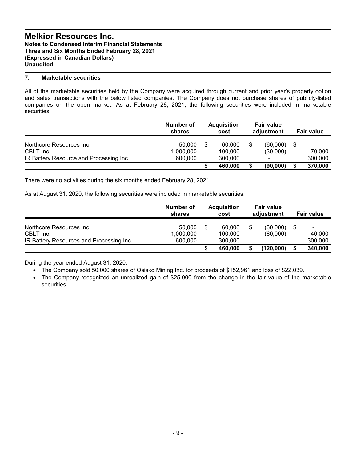### **7. Marketable securities**

All of the marketable securities held by the Company were acquired through current and prior year's property option and sales transactions with the below listed companies. The Company does not purchase shares of publicly-listed companies on the open market. As at February 28, 2021, the following securities were included in marketable securities:

|                                                                                  | Number of<br>shares            | <b>Acquisition</b><br>cost         | <b>Fair value</b><br>adjustment |    | <b>Fair value</b>                   |
|----------------------------------------------------------------------------------|--------------------------------|------------------------------------|---------------------------------|----|-------------------------------------|
| Northcore Resources Inc.<br>CBLT Inc.<br>IR Battery Resource and Processing Inc. | 50,000<br>1,000,000<br>600,000 | \$<br>60.000<br>100.000<br>300,000 | (60,000)<br>(30,000)<br>-       | \$ | $\blacksquare$<br>70.000<br>300,000 |
|                                                                                  |                                | 460,000                            | (90,000)                        | S  | 370,000                             |

There were no activities during the six months ended February 28, 2021.

As at August 31, 2020, the following securities were included in marketable securities:

|                                          | Number of<br>shares | <b>Acquisition</b><br>cost | <b>Fair value</b><br>adjustment | Fair value        |
|------------------------------------------|---------------------|----------------------------|---------------------------------|-------------------|
| Northcore Resources Inc.<br>CBLT Inc.    | 50,000<br>1,000,000 | 60.000<br>100,000          | (60,000)<br>(60,000)            | \$<br>-<br>40.000 |
| IR Battery Resources and Processing Inc. | 600,000             | 300,000                    | $\blacksquare$                  | 300,000           |
|                                          |                     | 460,000                    | (120,000)                       | 340,000           |

During the year ended August 31, 2020:

The Company sold 50,000 shares of Osisko Mining Inc. for proceeds of \$152,961 and loss of \$22,039.

 The Company recognized an unrealized gain of \$25,000 from the change in the fair value of the marketable securities.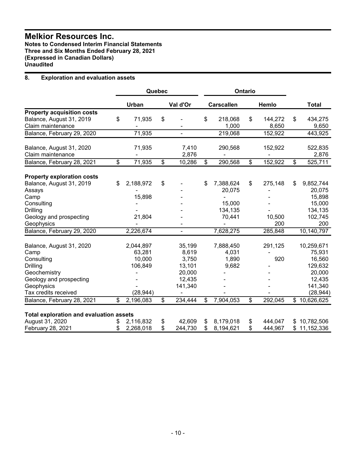**Notes to Condensed Interim Financial Statements Three and Six Months Ended February 28, 2021 (Expressed in Canadian Dollars) Unaudited**

### **8. Exploration and evaluation assets**

|                                                |                 | Quebec          |                |                           | Ontario |                  |                           |
|------------------------------------------------|-----------------|-----------------|----------------|---------------------------|---------|------------------|---------------------------|
|                                                | Urban           |                 | Val d'Or       | <b>Carscallen</b>         |         | Hemlo            | <b>Total</b>              |
| <b>Property acquisition costs</b>              |                 |                 |                |                           |         |                  |                           |
| Balance, August 31, 2019<br>Claim maintenance  | \$<br>71,935    | \$              |                | \$<br>218,068<br>1,000    | \$      | 144,272<br>8,650 | \$<br>434,275<br>9,650    |
| Balance, February 29, 2020                     | 71,935          |                 | $\blacksquare$ | 219,068                   |         | 152,922          | 443,925                   |
| Balance, August 31, 2020<br>Claim maintenance  | 71,935          |                 | 7,410<br>2,876 | 290,568                   |         | 152,922          | 522,835<br>2,876          |
| Balance, February 28, 2021                     | \$<br>71,935    | $\overline{\$}$ | 10,286         | \$<br>290,568             | \$      | 152,922          | \$<br>525,711             |
| <b>Property exploration costs</b>              |                 |                 |                |                           |         |                  |                           |
| Balance, August 31, 2019<br>Assays             | \$<br>2,188,972 | \$              |                | \$<br>7,388,624<br>20,075 | \$      | 275,148          | \$<br>9,852,744<br>20,075 |
| Camp                                           | 15,898          |                 |                |                           |         |                  | 15,898                    |
| Consulting<br><b>Drilling</b>                  |                 |                 |                | 15,000<br>134,135         |         |                  | 15,000<br>134,135         |
| Geology and prospecting<br>Geophysics          | 21,804          |                 |                | 70,441                    |         | 10,500<br>200    | 102,745<br>200            |
| Balance, February 29, 2020                     | 2,226,674       |                 |                | 7,628,275                 |         | 285,848          | 10,140,797                |
| Balance, August 31, 2020                       | 2,044,897       |                 | 35,199         | 7,888,450                 |         | 291,125          | 10,259,671                |
| Camp                                           | 63,281          |                 | 8,619          | 4,031                     |         |                  | 75,931                    |
| Consulting                                     | 10,000          |                 | 3,750          | 1,890                     |         | 920              | 16,560                    |
| <b>Drilling</b>                                | 106,849         |                 | 13,101         | 9,682                     |         |                  | 129,632                   |
| Geochemistry                                   |                 |                 | 20,000         |                           |         |                  | 20,000                    |
| Geology and prospecting                        |                 |                 | 12,435         |                           |         |                  | 12,435                    |
| Geophysics                                     |                 |                 | 141,340        |                           |         |                  | 141,340                   |
| Tax credits received                           | (28, 944)       |                 |                |                           |         |                  | (28, 944)                 |
| Balance, February 28, 2021                     | \$<br>2,196,083 | \$              | 234,444        | \$<br>7,904,053           | \$      | 292,045          | \$10,626,625              |
| <b>Total exploration and evaluation assets</b> |                 |                 |                |                           |         |                  |                           |
| August 31, 2020                                | \$<br>2,116,832 | \$              | 42,609         | \$<br>8,179,018           | \$      | 444,047          | \$10,782,506              |
| February 28, 2021                              | \$<br>2,268,018 | \$              | 244,730        | \$<br>8,194,621           | \$      | 444,967          | \$11,152,336              |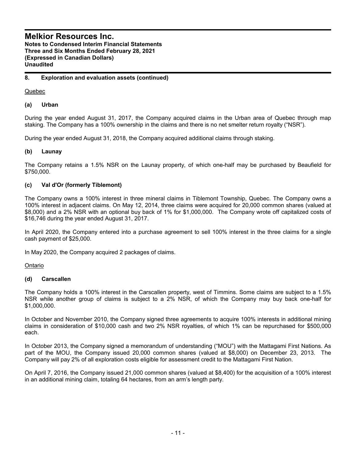**Notes to Condensed Interim Financial Statements Three and Six Months Ended February 28, 2021 (Expressed in Canadian Dollars) Unaudited**

### **8. Exploration and evaluation assets (continued)**

Quebec

### **(a) Urban**

During the year ended August 31, 2017, the Company acquired claims in the Urban area of Quebec through map staking. The Company has a 100% ownership in the claims and there is no net smelter return royalty ("NSR").

During the year ended August 31, 2018, the Company acquired additional claims through staking.

### **(b) Launay**

The Company retains a 1.5% NSR on the Launay property, of which one-half may be purchased by Beaufield for \$750,000.

### **(c) Val d'Or (formerly Tiblemont)**

The Company owns a 100% interest in three mineral claims in Tiblemont Township, Quebec. The Company owns a 100% interest in adjacent claims. On May 12, 2014, three claims were acquired for 20,000 common shares (valued at \$8,000) and a 2% NSR with an optional buy back of 1% for \$1,000,000. The Company wrote off capitalized costs of \$16,746 during the year ended August 31, 2017.

In April 2020, the Company entered into a purchase agreement to sell 100% interest in the three claims for a single cash payment of \$25,000.

In May 2020, the Company acquired 2 packages of claims.

Ontario

### **(d) Carscallen**

The Company holds a 100% interest in the Carscallen property, west of Timmins. Some claims are subject to a 1.5% NSR while another group of claims is subject to a 2% NSR, of which the Company may buy back one-half for \$1,000,000.

In October and November 2010, the Company signed three agreements to acquire 100% interests in additional mining claims in consideration of \$10,000 cash and two 2% NSR royalties, of which 1% can be repurchased for \$500,000 each.

In October 2013, the Company signed a memorandum of understanding ("MOU") with the Mattagami First Nations. As part of the MOU, the Company issued 20,000 common shares (valued at \$8,000) on December 23, 2013. The Company will pay 2% of all exploration costs eligible for assessment credit to the Mattagami First Nation.

On April 7, 2016, the Company issued 21,000 common shares (valued at \$8,400) for the acquisition of a 100% interest in an additional mining claim, totaling 64 hectares, from an arm's length party.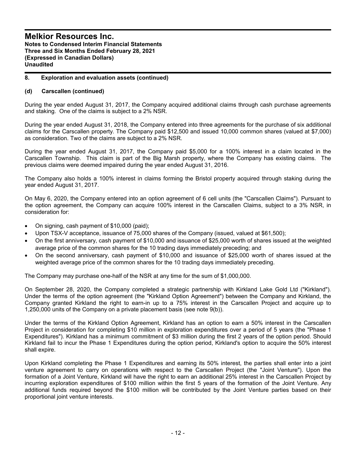### **8. Exploration and evaluation assets (continued)**

### **(d) Carscallen (continued)**

During the year ended August 31, 2017, the Company acquired additional claims through cash purchase agreements and staking. One of the claims is subject to a 2% NSR.

During the year ended August 31, 2018, the Company entered into three agreements for the purchase of six additional claims for the Carscallen property. The Company paid \$12,500 and issued 10,000 common shares (valued at \$7,000) as consideration. Two of the claims are subject to a 2% NSR.

During the year ended August 31, 2017, the Company paid \$5,000 for a 100% interest in a claim located in the Carscallen Township. This claim is part of the Big Marsh property, where the Company has existing claims. The previous claims were deemed impaired during the year ended August 31, 2016.

The Company also holds a 100% interest in claims forming the Bristol property acquired through staking during the year ended August 31, 2017.

On May 6, 2020, the Company entered into an option agreement of 6 cell units (the "Carscallen Claims"). Pursuant to the option agreement, the Company can acquire 100% interest in the Carscallen Claims, subject to a 3% NSR, in consideration for:

- On signing, cash payment of \$10,000 (paid);
- Upon TSX-V acceptance, issuance of 75,000 shares of the Company (issued, valued at \$61,500);
- On the first anniversary, cash payment of \$10,000 and issuance of \$25,000 worth of shares issued at the weighted average price of the common shares for the 10 trading days immediately preceding; and
- On the second anniversary, cash payment of \$10,000 and issuance of \$25,000 worth of shares issued at the weighted average price of the common shares for the 10 trading days immediately preceding.

The Company may purchase one-half of the NSR at any time for the sum of \$1,000,000.

On September 28, 2020, the Company completed a strategic partnership with Kirkland Lake Gold Ltd ("Kirkland"). Under the terms of the option agreement (the "Kirkland Option Agreement") between the Company and Kirkland, the Company granted Kirkland the right to earn-in up to a 75% interest in the Carscallen Project and acquire up to 1,250,000 units of the Company on a private placement basis (see note 9(b)).

Under the terms of the Kirkland Option Agreement, Kirkland has an option to earn a 50% interest in the Carscallen Project in consideration for completing \$10 million in exploration expenditures over a period of 5 years (the "Phase 1 Expenditures"). Kirkland has a minimum commitment of \$3 million during the first 2 years of the option period. Should Kirkland fail to incur the Phase 1 Expenditures during the option period, Kirkland's option to acquire the 50% interest shall expire.

Upon Kirkland completing the Phase 1 Expenditures and earning its 50% interest, the parties shall enter into a joint venture agreement to carry on operations with respect to the Carscallen Project (the "Joint Venture"). Upon the formation of a Joint Venture, Kirkland will have the right to earn an additional 25% interest in the Carscallen Project by incurring exploration expenditures of \$100 million within the first 5 years of the formation of the Joint Venture. Any additional funds required beyond the \$100 million will be contributed by the Joint Venture parties based on their proportional joint venture interests.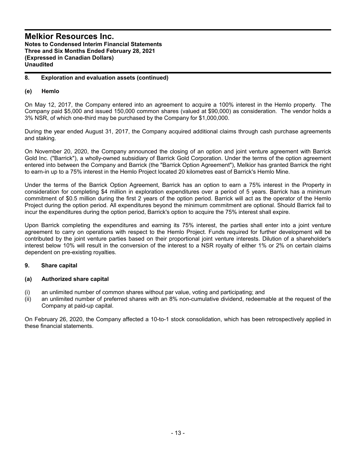### **8. Exploration and evaluation assets (continued)**

### **(e) Hemlo**

On May 12, 2017, the Company entered into an agreement to acquire a 100% interest in the Hemlo property. The Company paid \$5,000 and issued 150,000 common shares (valued at \$90,000) as consideration. The vendor holds a 3% NSR, of which one-third may be purchased by the Company for \$1,000,000.

During the year ended August 31, 2017, the Company acquired additional claims through cash purchase agreements and staking.

On November 20, 2020, the Company announced the closing of an option and joint venture agreement with Barrick Gold Inc. ("Barrick"), a wholly-owned subsidiary of Barrick Gold Corporation. Under the terms of the option agreement entered into between the Company and Barrick (the "Barrick Option Agreement"), Melkior has granted Barrick the right to earn-in up to a 75% interest in the Hemlo Project located 20 kilometres east of Barrick's Hemlo Mine.

Under the terms of the Barrick Option Agreement, Barrick has an option to earn a 75% interest in the Property in consideration for completing \$4 million in exploration expenditures over a period of 5 years. Barrick has a minimum commitment of \$0.5 million during the first 2 years of the option period. Barrick will act as the operator of the Hemlo Project during the option period. All expenditures beyond the minimum commitment are optional. Should Barrick fail to incur the expenditures during the option period, Barrick's option to acquire the 75% interest shall expire.

Upon Barrick completing the expenditures and earning its 75% interest, the parties shall enter into a joint venture agreement to carry on operations with respect to the Hemlo Project. Funds required for further development will be contributed by the joint venture parties based on their proportional joint venture interests. Dilution of a shareholder's interest below 10% will result in the conversion of the interest to a NSR royalty of either 1% or 2% on certain claims dependent on pre-existing royalties.

### **9. Share capital**

### **(a) Authorized share capital**

- (i) an unlimited number of common shares without par value, voting and participating; and
- (ii) an unlimited number of preferred shares with an 8% non-cumulative dividend, redeemable at the request of the Company at paid-up capital.

On February 26, 2020, the Company affected a 10-to-1 stock consolidation, which has been retrospectively applied in these financial statements.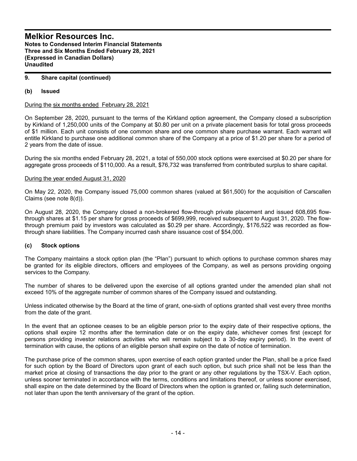### **9. Share capital (continued)**

### **(b) Issued**

During the six months ended February 28, 2021

On September 28, 2020, pursuant to the terms of the Kirkland option agreement, the Company closed a subscription by Kirkland of 1,250,000 units of the Company at \$0.80 per unit on a private placement basis for total gross proceeds of \$1 million. Each unit consists of one common share and one common share purchase warrant. Each warrant will entitle Kirkland to purchase one additional common share of the Company at a price of \$1.20 per share for a period of 2 years from the date of issue.

During the six months ended February 28, 2021, a total of 550,000 stock options were exercised at \$0.20 per share for aggregate gross proceeds of \$110,000. As a result, \$76,732 was transferred from contributed surplus to share capital.

### During the year ended August 31, 2020

On May 22, 2020, the Company issued 75,000 common shares (valued at \$61,500) for the acquisition of Carscallen Claims (see note 8(d)).

On August 28, 2020, the Company closed a non-brokered flow-through private placement and issued 608,695 flowthrough shares at \$1.15 per share for gross proceeds of \$699,999, received subsequent to August 31, 2020. The flowthrough premium paid by investors was calculated as \$0.29 per share. Accordingly, \$176,522 was recorded as flowthrough share liabilities. The Company incurred cash share issuance cost of \$54,000.

### **(c) Stock options**

The Company maintains a stock option plan (the "Plan") pursuant to which options to purchase common shares may be granted for its eligible directors, officers and employees of the Company, as well as persons providing ongoing services to the Company.

The number of shares to be delivered upon the exercise of all options granted under the amended plan shall not exceed 10% of the aggregate number of common shares of the Company issued and outstanding.

Unless indicated otherwise by the Board at the time of grant, one-sixth of options granted shall vest every three months from the date of the grant.

In the event that an optionee ceases to be an eligible person prior to the expiry date of their respective options, the options shall expire 12 months after the termination date or on the expiry date, whichever comes first (except for persons providing investor relations activities who will remain subject to a 30-day expiry period). In the event of termination with cause, the options of an eligible person shall expire on the date of notice of termination.

The purchase price of the common shares, upon exercise of each option granted under the Plan, shall be a price fixed for such option by the Board of Directors upon grant of each such option, but such price shall not be less than the market price at closing of transactions the day prior to the grant or any other regulations by the TSX-V. Each option, unless sooner terminated in accordance with the terms, conditions and limitations thereof, or unless sooner exercised, shall expire on the date determined by the Board of Directors when the option is granted or, failing such determination, not later than upon the tenth anniversary of the grant of the option.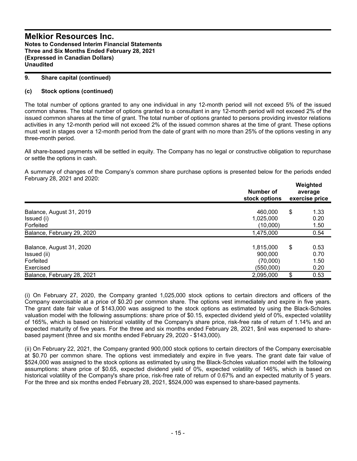### **9. Share capital (continued)**

### **(c) Stock options (continued)**

The total number of options granted to any one individual in any 12-month period will not exceed 5% of the issued common shares. The total number of options granted to a consultant in any 12-month period will not exceed 2% of the issued common shares at the time of grant. The total number of options granted to persons providing investor relations activities in any 12-month period will not exceed 2% of the issued common shares at the time of grant. These options must vest in stages over a 12-month period from the date of grant with no more than 25% of the options vesting in any three-month period.

All share-based payments will be settled in equity. The Company has no legal or constructive obligation to repurchase or settle the options in cash.

A summary of changes of the Company's common share purchase options is presented below for the periods ended February 28, 2021 and 2020:

|                                                                   | Number of<br>stock options                    | Weighted<br>average<br>exercise price |
|-------------------------------------------------------------------|-----------------------------------------------|---------------------------------------|
| Balance, August 31, 2019<br>Issued (i)<br>Forfeited               | 460,000<br>1,025,000<br>(10,000)              | \$<br>1.33<br>0.20<br>1.50            |
| Balance, February 29, 2020                                        | 1,475,000                                     | 0.54                                  |
| Balance, August 31, 2020<br>Issued (ii)<br>Forfeited<br>Exercised | 1,815,000<br>900.000<br>(70,000)<br>(550,000) | \$<br>0.53<br>0.70<br>1.50<br>0.20    |
| Balance, February 28, 2021                                        | 2,095,000                                     | \$<br>0.53                            |

(i) On February 27, 2020, the Company granted 1,025,000 stock options to certain directors and officers of the Company exercisable at a price of \$0.20 per common share. The options vest immediately and expire in five years. The grant date fair value of \$143,000 was assigned to the stock options as estimated by using the Black-Scholes valuation model with the following assumptions: share price of \$0.15, expected dividend yield of 0%, expected volatility of 165%, which is based on historical volatility of the Company's share price, risk-free rate of return of 1.14% and an expected maturity of five years. For the three and six months ended February 28, 2021, \$nil was expensed to sharebased payment (three and six months ended February 29, 2020 - \$143,000).

(ii) On February 22, 2021, the Company granted 900,000 stock options to certain directors of the Company exercisable at \$0.70 per common share. The options vest immediately and expire in five years. The grant date fair value of \$524,000 was assigned to the stock options as estimated by using the Black-Scholes valuation model with the following assumptions: share price of \$0.65, expected dividend yield of 0%, expected volatility of 146%, which is based on historical volatility of the Company's share price, risk-free rate of return of 0.67% and an expected maturity of 5 years. For the three and six months ended February 28, 2021, \$524,000 was expensed to share-based payments.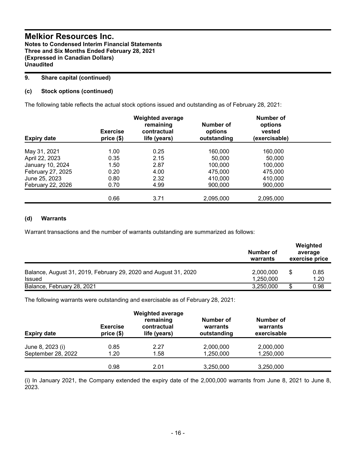### **9. Share capital (continued)**

### **(c) Stock options (continued)**

The following table reflects the actual stock options issued and outstanding as of February 28, 2021:

| <b>Expiry date</b>             | <b>Exercise</b><br>price(\$) | <b>Weighted average</b><br>remaining<br>contractual<br>life (years) | Number of<br>options<br>outstanding | Number of<br>options<br>vested<br>(exercisable) |  |
|--------------------------------|------------------------------|---------------------------------------------------------------------|-------------------------------------|-------------------------------------------------|--|
|                                | 1.00                         | 0.25                                                                | 160,000                             | 160,000                                         |  |
| May 31, 2021<br>April 22, 2023 | 0.35                         | 2.15                                                                | 50,000                              | 50,000                                          |  |
| January 10, 2024               | 1.50                         | 2.87                                                                | 100.000                             | 100.000                                         |  |
| February 27, 2025              | 0.20                         | 4.00                                                                | 475.000                             | 475,000                                         |  |
| June 25, 2023                  | 0.80                         | 2.32                                                                | 410.000                             | 410,000                                         |  |
| February 22, 2026              | 0.70                         | 4.99                                                                | 900,000                             | 900,000                                         |  |
|                                |                              |                                                                     |                                     |                                                 |  |
|                                | 0.66                         | 3.71                                                                | 2,095,000                           | 2,095,000                                       |  |

### **(d) Warrants**

Warrant transactions and the number of warrants outstanding are summarized as follows:

|                                                                           | Number of<br>warrants  | Weighted<br>average<br>exercise price |
|---------------------------------------------------------------------------|------------------------|---------------------------------------|
| Balance, August 31, 2019, February 29, 2020 and August 31, 2020<br>Issued | 2,000,000<br>1.250.000 | 0.85<br>1.20                          |
| Balance, February 28, 2021                                                | 3,250,000              | 0.98                                  |

The following warrants were outstanding and exercisable as of February 28, 2021:

| <b>Expiry date</b> | <b>Exercise</b><br>price(\$) | <b>Weighted average</b><br>remaining<br>contractual<br>life (years) | Number of<br>warrants<br>outstanding | Number of<br>warrants<br>exercisable |  |
|--------------------|------------------------------|---------------------------------------------------------------------|--------------------------------------|--------------------------------------|--|
| June 8, 2023 (i)   | 0.85                         | 2.27                                                                | 2,000,000                            | 2,000,000                            |  |
| September 28, 2022 | 1.20                         | 1.58                                                                | 1,250,000                            | 1,250,000                            |  |
|                    | 0.98                         | 2.01                                                                | 3,250,000                            | 3,250,000                            |  |

(i) In January 2021, the Company extended the expiry date of the 2,000,000 warrants from June 8, 2021 to June 8, 2023.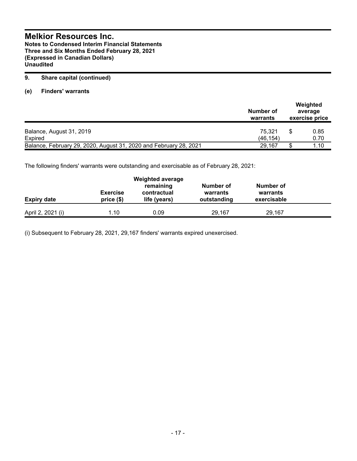**Notes to Condensed Interim Financial Statements Three and Six Months Ended February 28, 2021 (Expressed in Canadian Dollars) Unaudited**

### **9. Share capital (continued)**

**(e) Finders' warrants**

|                                                                   | Number of<br>warrants | Weighted<br>average<br>exercise price |              |
|-------------------------------------------------------------------|-----------------------|---------------------------------------|--------------|
| Balance, August 31, 2019<br><b>Expired</b>                        | 75.321<br>(46.154)    |                                       | 0.85<br>0.70 |
| Balance, February 29, 2020, August 31, 2020 and February 28, 2021 | 29.167                |                                       | 1.10         |

The following finders' warrants were outstanding and exercisable as of February 28, 2021:

| <b>Expiry date</b> | <b>Exercise</b><br>$price($)$ | <b>Weighted average</b><br>remaining<br>contractual<br>life (years) | Number of<br>warrants<br>outstanding | Number of<br>warrants<br>exercisable |  |
|--------------------|-------------------------------|---------------------------------------------------------------------|--------------------------------------|--------------------------------------|--|
| April 2, 2021 (i)  | 1.10                          | 0.09                                                                | 29.167                               | 29.167                               |  |

(i) Subsequent to February 28, 2021, 29,167 finders' warrants expired unexercised.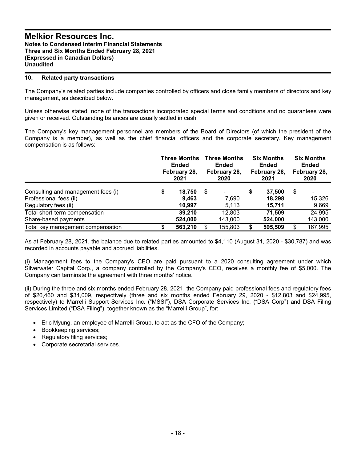### **10. Related party transactions**

The Company's related parties include companies controlled by officers and close family members of directors and key management, as described below.

Unless otherwise stated, none of the transactions incorporated special terms and conditions and no guarantees were given or received. Outstanding balances are usually settled in cash.

The Company's key management personnel are members of the Board of Directors (of which the president of the Company is a member), as well as the chief financial officers and the corporate secretary. Key management compensation is as follows:

|                                                                                      | <b>Three Months</b><br><b>Ended</b><br>February 28,<br>2021 |                           | <b>Three Months</b><br><b>Ended</b><br>February 28,<br>2020 |                   | <b>Six Months</b><br><b>Ended</b><br>February 28,<br>2021 |                            | <b>Six Months</b><br><b>Ended</b><br>February 28,<br>2020 |                                   |
|--------------------------------------------------------------------------------------|-------------------------------------------------------------|---------------------------|-------------------------------------------------------------|-------------------|-----------------------------------------------------------|----------------------------|-----------------------------------------------------------|-----------------------------------|
| Consulting and management fees (i)<br>Professional fees (ii)<br>Regulatory fees (ii) | \$                                                          | 18,750<br>9,463<br>10,997 | \$                                                          | 7.690<br>5,113    |                                                           | 37.500<br>18.298<br>15,711 | \$                                                        | $\blacksquare$<br>15,326<br>9,669 |
| Total short-term compensation<br>Share-based payments                                |                                                             | 39.210<br>524,000         |                                                             | 12,803<br>143,000 |                                                           | 71,509<br>524,000          |                                                           | 24,995<br>143,000                 |
| Total key management compensation                                                    |                                                             | 563,210                   | \$                                                          | 155,803           |                                                           | 595,509                    | \$                                                        | 167,995                           |

As at February 28, 2021, the balance due to related parties amounted to \$4,110 (August 31, 2020 - \$30,787) and was recorded in accounts payable and accrued liabilities.

(i) Management fees to the Company's CEO are paid pursuant to a 2020 consulting agreement under which Silverwater Capital Corp., a company controlled by the Company's CEO, receives a monthly fee of \$5,000. The Company can terminate the agreement with three months' notice.

(ii) During the three and six months ended February 28, 2021, the Company paid professional fees and regulatory fees of \$20,460 and \$34,009, respectively (three and six months ended February 29, 2020 - \$12,803 and \$24,995, respectively) to Marrelli Support Services Inc. ("MSSI"), DSA Corporate Services Inc. ("DSA Corp") and DSA Filing Services Limited ("DSA Filing"), together known as the "Marrelli Group", for:

- Eric Myung, an employee of Marrelli Group, to act as the CFO of the Company;
- Bookkeeping services;
- Regulatory filing services;
- Corporate secretarial services.